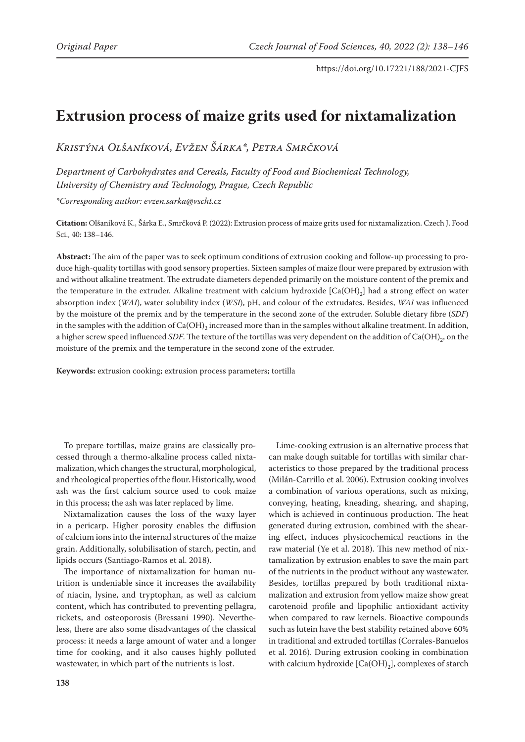# **Extrusion process of maize grits used for nixtamalization**

*Kristýna Olšaníková, Evžen Šárka\*, Petra Smrčková*

*Department of Carbohydrates and Cereals, Faculty of Food and Biochemical Technology, University of Chemistry and Technology, Prague, Czech Republic*

*\*Corresponding author: evzen.sarka@vscht.cz*

**Citation:** Olšaníková K., Šárka E., Smrčková P. (2022): Extrusion process of maize grits used for nixtamalization. Czech J. Food Sci., 40: 138–146.

**Abstract:** The aim of the paper was to seek optimum conditions of extrusion cooking and follow-up processing to produce high-quality tortillas with good sensory properties. Sixteen samples of maize flour were prepared by extrusion with and without alkaline treatment. The extrudate diameters depended primarily on the moisture content of the premix and the temperature in the extruder. Alkaline treatment with calcium hydroxide  $[Ca(OH)_2]$  had a strong effect on water absorption index (*WAI*), water solubility index (*WSI*), pH, and colour of the extrudates. Besides, *WAI* was influenced by the moisture of the premix and by the temperature in the second zone of the extruder. Soluble dietary fibre (*SDF*) in the samples with the addition of  $Ca(OH)_{2}$  increased more than in the samples without alkaline treatment. In addition, a higher screw speed influenced *SDF*. The texture of the tortillas was very dependent on the addition of Ca(OH)<sub>2</sub>, on the moisture of the premix and the temperature in the second zone of the extruder.

**Keywords:** extrusion cooking; extrusion process parameters; tortilla

To prepare tortillas, maize grains are classically processed through a thermo-alkaline process called nixtamalization, which changes the structural, morphological, and rheological properties of the flour. Historically, wood ash was the first calcium source used to cook maize in this process; the ash was later replaced by lime.

Nixtamalization causes the loss of the waxy layer in a pericarp. Higher porosity enables the diffusion of calcium ions into the internal structures of the maize grain. Additionally, solubilisation of starch, pectin, and lipids occurs (Santiago-Ramos et al. 2018).

The importance of nixtamalization for human nutrition is undeniable since it increases the availability of niacin, lysine, and tryptophan, as well as calcium content, which has contributed to preventing pellagra, rickets, and osteoporosis (Bressani 1990). Nevertheless, there are also some disadvantages of the classical process: it needs a large amount of water and a longer time for cooking, and it also causes highly polluted wastewater, in which part of the nutrients is lost.

Lime-cooking extrusion is an alternative process that can make dough suitable for tortillas with similar characteristics to those prepared by the traditional process (Milán-Carrillo et al. 2006). Extrusion cooking involves a combination of various operations, such as mixing, conveying, heating, kneading, shearing, and shaping, which is achieved in continuous production. The heat generated during extrusion, combined with the shearing effect, induces physicochemical reactions in the raw material (Ye et al. 2018). This new method of nixtamalization by extrusion enables to save the main part of the nutrients in the product without any wastewater. Besides, tortillas prepared by both traditional nixtamalization and extrusion from yellow maize show great carotenoid profile and lipophilic antioxidant activity when compared to raw kernels. Bioactive compounds such as lutein have the best stability retained above 60% in traditional and extruded tortillas (Corrales-Banuelos et al. 2016). During extrusion cooking in combination with calcium hydroxide  $[Ca(OH)_2]$ , complexes of starch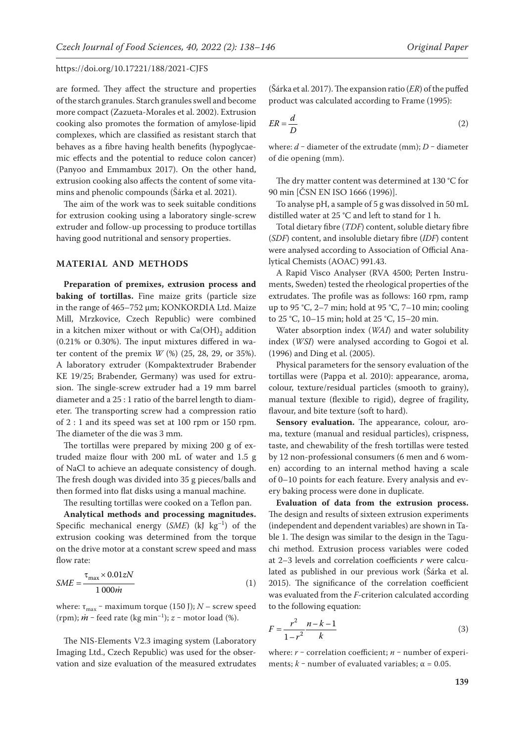are formed. They affect the structure and properties of the starch granules. Starch granules swell and become more compact (Zazueta-Morales et al. 2002). Extrusion cooking also promotes the formation of amylose-lipid complexes, which are classified as resistant starch that behaves as a fibre having health benefits (hypoglycaemic effects and the potential to reduce colon cancer) (Panyoo and Emmambux 2017). On the other hand, extrusion cooking also affects the content of some vitamins and phenolic compounds (Šárka et al. 2021).

The aim of the work was to seek suitable conditions for extrusion cooking using a laboratory single-screw extruder and follow-up processing to produce tortillas having good nutritional and sensory properties.

# **MATERIAL AND METHODS**

**Preparation of premixes, extrusion process and baking of tortillas.** Fine maize grits (particle size in the range of 465–752 μm; KONKORDIA Ltd. Maize Mill, Mrzkovice, Czech Republic) were combined in a kitchen mixer without or with  $Ca(OH)$ <sub>2</sub> addition (0.21% or 0.30%). The input mixtures differed in water content of the premix *W* (%) (25, 28, 29, or 35%). A laboratory extruder (Kompaktextruder Brabender KE 19/25; Brabender, Germany) was used for extrusion. The single-screw extruder had a 19 mm barrel diameter and a 25 : 1 ratio of the barrel length to diameter. The transporting screw had a compression ratio of 2 : 1 and its speed was set at 100 rpm or 150 rpm. The diameter of the die was 3 mm.

The tortillas were prepared by mixing 200 g of extruded maize flour with 200 mL of water and 1.5 g of NaCl to achieve an adequate consistency of dough. The fresh dough was divided into 35 g pieces/balls and then formed into flat disks using a manual machine.

The resulting tortillas were cooked on a Teflon pan.

**Analytical methods and processing magnitudes.**  Specific mechanical energy (*SME*) (kJ kg<sup>-1</sup>) of the extrusion cooking was determined from the torque on the drive motor at a constant screw speed and mass flow rate:

$$
SME = \frac{\tau_{\text{max}} \times 0.01 \text{zN}}{1\ 000 \dot{m}}
$$
 (1)

where:  $\tau_{\text{max}}$  – maximum torque (150 J);  $N$  – screw speed (rpm);  $\dot{m}$  – feed rate (kg min<sup>-1</sup>);  $z$  – motor load (%).

The NIS-Elements V2.3 imaging system (Laboratory Imaging Ltd., Czech Republic) was used for the observation and size evaluation of the measured extrudates (Šárka et al. 2017). The expansion ratio (*ER*) of the puffed product was calculated according to Frame (1995):

$$
ER = \frac{d}{D} \tag{2}
$$

where:  $d$  – diameter of the extrudate (mm);  $D$  – diameter of die opening (mm).

The dry matter content was determined at 130 °C for 90 min [ČSN EN ISO 1666 (1996)].

To analyse pH, a sample of 5 g was dissolved in 50 mL distilled water at 25 °C and left to stand for 1 h.

Total dietary fibre (*TDF*) content, soluble dietary fibre (*SDF*) content, and insoluble dietary fibre (*IDF*) content were analysed according to Association of Official Analytical Chemists (AOAC) 991.43.

A Rapid Visco Analyser (RVA 4500; Perten Instruments, Sweden) tested the rheological properties of the extrudates. The profile was as follows: 160 rpm, ramp up to 95 °C, 2–7 min; hold at 95 °C, 7–10 min; cooling to 25 °C, 10–15 min; hold at 25 °C, 15–20 min.

Water absorption index (*WAI*) and water solubility index (*WSI*) were analysed according to Gogoi et al. (1996) and Ding et al. (2005).

Physical parameters for the sensory evaluation of the tortillas were (Pappa et al. 2010): appearance, aroma, colour, texture/residual particles (smooth to grainy), manual texture (flexible to rigid), degree of fragility, flavour, and bite texture (soft to hard).

Sensory evaluation. The appearance, colour, aroma, texture (manual and residual particles), crispness, taste, and chewability of the fresh tortillas were tested by 12 non-professional consumers (6 men and 6 women) according to an internal method having a scale of 0–10 points for each feature. Every analysis and every baking process were done in duplicate.

**Evaluation of data from the extrusion process.**  The design and results of sixteen extrusion experiments (independent and dependent variables) are shown in Table 1. The design was similar to the design in the Taguchi method. Extrusion process variables were coded at 2–3 levels and correlation coefficients *r* were calculated as published in our previous work (Šárka et al. 2015). The significance of the correlation coefficient was evaluated from the *F*-criterion calculated according to the following equation:

$$
F = \frac{r^2}{1 - r^2} \frac{n - k - 1}{k}
$$
 (3)

where:  $r$  – correlation coefficient;  $n$  – number of experiments;  $k$  – number of evaluated variables;  $\alpha$  = 0.05.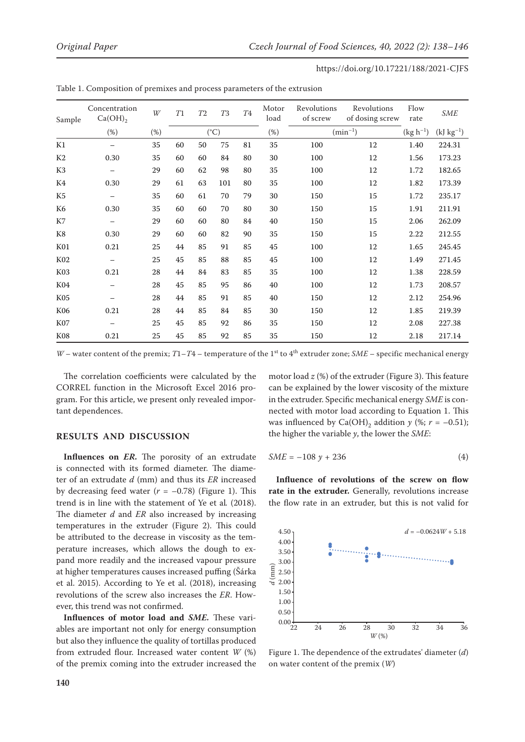| Sample           | Concentration<br>$Ca(OH)_{2}$ | W   | T1 | T2 | <b>T3</b>     | ${\cal T}4$ | Motor<br>load | Revolutions<br>of screw | Revolutions<br>of dosing screw | Flow<br>rate  | <b>SME</b>     |
|------------------|-------------------------------|-----|----|----|---------------|-------------|---------------|-------------------------|--------------------------------|---------------|----------------|
|                  | $(\%)$                        | (%) |    |    | $(^{\circ}C)$ |             | (%)           |                         | $(min^{-1})$                   | $(kg h^{-1})$ | $(kJ kg^{-1})$ |
| K1               |                               | 35  | 60 | 50 | 75            | 81          | 35            | 100                     | 12                             | 1.40          | 224.31         |
| K <sub>2</sub>   | 0.30                          | 35  | 60 | 60 | 84            | 80          | 30            | 100                     | 12                             | 1.56          | 173.23         |
| K <sub>3</sub>   | $\overline{\phantom{0}}$      | 29  | 60 | 62 | 98            | 80          | 35            | 100                     | 12                             | 1.72          | 182.65         |
| K4               | 0.30                          | 29  | 61 | 63 | 101           | 80          | 35            | 100                     | 12                             | 1.82          | 173.39         |
| K <sub>5</sub>   | $\qquad \qquad -$             | 35  | 60 | 61 | 70            | 79          | 30            | 150                     | 15                             | 1.72          | 235.17         |
| K <sub>6</sub>   | 0.30                          | 35  | 60 | 60 | 70            | 80          | 30            | 150                     | 15                             | 1.91          | 211.91         |
| K7               | $\overline{\phantom{0}}$      | 29  | 60 | 60 | 80            | 84          | 40            | 150                     | 15                             | 2.06          | 262.09         |
| K8               | 0.30                          | 29  | 60 | 60 | 82            | 90          | 35            | 150                     | $15\,$                         | 2.22          | 212.55         |
| K <sub>01</sub>  | 0.21                          | 25  | 44 | 85 | 91            | 85          | 45            | 100                     | 12                             | 1.65          | 245.45         |
| K02              |                               | 25  | 45 | 85 | 88            | 85          | 45            | 100                     | 12                             | 1.49          | 271.45         |
| K <sub>0</sub> 3 | 0.21                          | 28  | 44 | 84 | 83            | 85          | 35            | 100                     | 12                             | 1.38          | 228.59         |
| K04              | $\overline{\phantom{0}}$      | 28  | 45 | 85 | 95            | 86          | 40            | 100                     | 12                             | 1.73          | 208.57         |
| K <sub>05</sub>  |                               | 28  | 44 | 85 | 91            | 85          | 40            | 150                     | 12                             | 2.12          | 254.96         |
| K06              | 0.21                          | 28  | 44 | 85 | 84            | 85          | 30            | 150                     | 12                             | 1.85          | 219.39         |
| <b>K07</b>       |                               | 25  | 45 | 85 | 92            | 86          | 35            | 150                     | 12                             | 2.08          | 227.38         |
| K <sub>08</sub>  | 0.21                          | 25  | 45 | 85 | 92            | 85          | 35            | 150                     | 12                             | 2.18          | 217.14         |

Table 1. Composition of premixes and process parameters of the extrusion

*W* – water content of the premix;  $T1-T4$  – temperature of the 1<sup>st</sup> to 4<sup>th</sup> extruder zone; *SME* – specific mechanical energy

The correlation coefficients were calculated by the CORREL function in the Microsoft Excel 2016 program. For this article, we present only revealed important dependences.

## **RESULTS AND DISCUSSION**

**Influences on** *ER*. The porosity of an extrudate is connected with its formed diameter. The diameter of an extrudate *d* (mm) and thus its *ER* increased by decreasing feed water  $(r = -0.78)$  (Figure 1). This trend is in line with the statement of Ye et al*.* (2018). The diameter *d* and *ER* also increased by increasing temperatures in the extruder (Figure 2). This could be attributed to the decrease in viscosity as the temperature increases, which allows the dough to expand more readily and the increased vapour pressure at higher temperatures causes increased puffing (Šárka et al. 2015). According to Ye et al. (2018), increasing revolutions of the screw also increases the *ER*. However, this trend was not confirmed.

**Influences of motor load and** *SME.* These variables are important not only for energy consumption but also they influence the quality of tortillas produced from extruded flour. Increased water content *W* (%) of the premix coming into the extruder increased the motor load *z* (%) of the extruder (Figure 3). This feature can be explained by the lower viscosity of the mixture in the extruder. Specific mechanical energy *SME* is connected with motor load according to Equation 1. This was influenced by Ca(OH)<sub>2</sub> addition *y* (%;  $r = -0.51$ ); the higher the variable *y*, the lower the *SME*:

$$
SME = -108 y + 236 \tag{4}
$$

**Influence of revolutions of the screw on flow rate in the extruder.** Generally, revolutions increase the flow rate in an extruder, but this is not valid for



Figure 1. The dependence of the extrudates' diameter (*d*) on water content of the premix (*W*)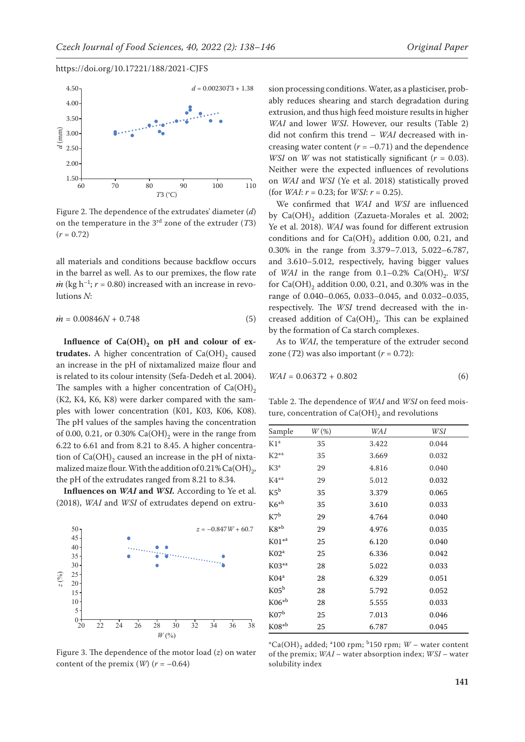

Figure 2. The dependence of the extrudates' diameter (*d*) on the temperature in the 3rd zone of the extruder (*T*3)  $(r = 0.72)$ 

all materials and conditions because backflow occurs in the barrel as well. As to our premixes, the flow rate  $\dot{m}$  (kg h<sup>-1</sup>;  $r = 0.80$ ) increased with an increase in revolutions *N*:

$$
\dot{m} = 0.00846N + 0.748\tag{5}
$$

Influence of  $Ca(OH)$ <sub>2</sub> on pH and colour of ex**trudates.** A higher concentration of  $Ca(OH)$ <sub>2</sub> caused an increase in the pH of nixtamalized maize flour and is related to its colour intensity (Sefa-Dedeh et al. 2004). The samples with a higher concentration of  $Ca(OH)_{2}$ (K2, K4, K6, K8) were darker compared with the samples with lower concentration (K01, K03, K06, K08). The pH values of the samples having the concentration of 0.00, 0.21, or 0.30%  $Ca(OH)_{2}$  were in the range from 6.22 to 6.61 and from 8.21 to 8.45. A higher concentration of  $Ca(OH)$ <sub>2</sub> caused an increase in the pH of nixtamalized maize flour. With the addition of 0.21% Ca(OH)<sub>2</sub>, the pH of the extrudates ranged from 8.21 to 8.34.

**Influences on** *WAI* **and** *WSI.* According to Ye et al. (2018), *WAI* and *WSI* of extrudates depend on extru-



Figure 3. The dependence of the motor load (*z*) on water content of the premix  $(W)(r = -0.64)$ 

sion processing conditions. Water, as a plasticiser, probably reduces shearing and starch degradation during extrusion, and thus high feed moisture results in higher *WAI* and lower *WSI*. However, our results (Table 2) did not confirm this trend – *WAI* decreased with increasing water content  $(r = -0.71)$  and the dependence *WSI* on *W* was not statistically significant ( $r = 0.03$ ). Neither were the expected influences of revolutions on *WAI* and *WSI* (Ye et al. 2018) statistically proved (for *WAI*:  $r = 0.23$ ; for *WSI*:  $r = 0.25$ ).

We confirmed that *WAI* and *WSI* are influenced by Ca(OH)<sub>2</sub> addition (Zazueta-Morales et al. 2002; Ye et al. 2018). *WAI* was found for different extrusion conditions and for  $Ca(OH)$ <sub>2</sub> addition 0.00, 0.21, and 0.30% in the range from 3.379–7.013, 5.022–6.787, and 3.610–5.012, respectively, having bigger values of *WAI* in the range from  $0.1-0.2\%$  Ca(OH)<sub>2</sub>. *WSI* for  $Ca(OH)$ <sub>2</sub> addition 0.00, 0.21, and 0.30% was in the range of 0.040–0.065, 0.033–0.045, and 0.032–0.035, respectively. The *WSI* trend decreased with the increased addition of  $Ca(OH)_2$ . This can be explained by the formation of Ca starch complexes.

As to *WAI*, the temperature of the extruder second zone  $(T2)$  was also important  $(r = 0.72)$ :

$$
WAI = 0.063T2 + 0.802\tag{6}
$$

Table 2. The dependence of *WAI* and *WSI* on feed moisture, concentration of  $Ca(OH)_2$  and revolutions

| Sample           | $W(\%)$ | WAI   | WSI   |
|------------------|---------|-------|-------|
| K1 <sup>a</sup>  | 35      | 3.422 | 0.044 |
| $K2^{*a}$        | 35      | 3.669 | 0.032 |
| $K3^a$           | 29      | 4.816 | 0.040 |
| $K4^{*a}$        | 29      | 5.012 | 0.032 |
| $K5^b$           | 35      | 3.379 | 0.065 |
| $K6^{*b}$        | 35      | 3.610 | 0.033 |
| $K7^b$           | 29      | 4.764 | 0.040 |
| $K8^{*b}$        | 29      | 4.976 | 0.035 |
| $K01**$          | 25      | 6.120 | 0.040 |
| K02 <sup>a</sup> | 25      | 6.336 | 0.042 |
| $K03^{*a}$       | 28      | 5.022 | 0.033 |
| $K04^a$          | 28      | 6.329 | 0.051 |
| K05 <sup>b</sup> | 28      | 5.792 | 0.052 |
| $K06^{*b}$       | 28      | 5.555 | 0.033 |
| K07 <sup>b</sup> | 25      | 7.013 | 0.046 |
| $K08^{*b}$       | 25      | 6.787 | 0.045 |

 $^{\circ}$ Ca(OH)<sub>2</sub> added; <sup>a</sup>100 rpm; <sup>b</sup>150 rpm; *W* – water content of the premix; *WAI* – water absorption index; *WSI* – water solubility index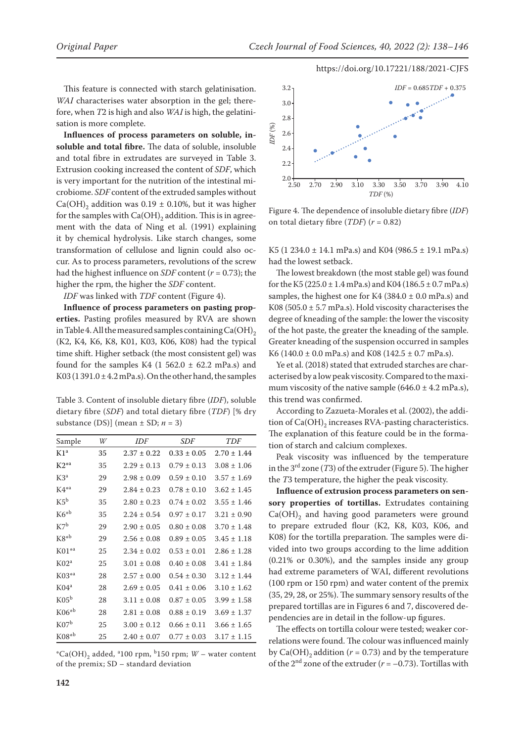This feature is connected with starch gelatinisation. *WAI* characterises water absorption in the gel; therefore, when *T*2 is high and also *WAI* is high, the gelatinisation is more complete.

**Influences of process parameters on soluble, insoluble and total fibre.** The data of soluble, insoluble and total fibre in extrudates are surveyed in Table 3. Extrusion cooking increased the content of *SDF*, which is very important for the nutrition of the intestinal microbiome. *SDF* content of the extruded samples without  $Ca(OH)$ <sub>2</sub> addition was 0.19  $\pm$  0.10%, but it was higher for the samples with  $Ca(OH)_2$  addition. This is in agreement with the data of Ning et al. (1991) explaining it by chemical hydrolysis. Like starch changes, some transformation of cellulose and lignin could also occur. As to process parameters, revolutions of the screw had the highest influence on *SDF* content (*r* = 0.73); the higher the rpm, the higher the *SDF* content.

*IDF* was linked with *TDF* content (Figure 4).

**Influence of process parameters on pasting properties.** Pasting profiles measured by RVA are shown in Table 4. All the measured samples containing  $Ca(OH)_{2}$ (K2, K4, K6, K8, K01, K03, K06, K08) had the typical time shift. Higher setback (the most consistent gel) was found for the samples K4 (1 562.0  $\pm$  62.2 mPa.s) and K03 (1391.0  $\pm$  4.2 mPa.s). On the other hand, the samples

Table 3. Content of insoluble dietary fibre (*IDF*), soluble dietary fibre (*SDF*) and total dietary fibre (*TDF*) [% dry substance (DS)] (mean  $\pm$  SD;  $n = 3$ )

| Sample           | W  | IDF             | SDF             | TDF             |
|------------------|----|-----------------|-----------------|-----------------|
| $K1^a$           | 35 | $2.37 \pm 0.22$ | $0.33 \pm 0.05$ | $2.70 + 1.44$   |
| $K2^{*a}$        | 35 | $2.29 \pm 0.13$ | $0.79 \pm 0.13$ | $3.08 \pm 1.06$ |
| $K3^a$           | 29 | $2.98 \pm 0.09$ | $0.59 \pm 0.10$ | $3.57 \pm 1.69$ |
| $K4^{*a}$        | 29 | $2.84 \pm 0.23$ | $0.78 \pm 0.10$ | $3.62 \pm 1.45$ |
| $K5^b$           | 35 | $2.80 \pm 0.23$ | $0.74 \pm 0.02$ | $3.55 \pm 1.46$ |
| $K6^{*b}$        | 35 | $2.24 \pm 0.54$ | $0.97 \pm 0.17$ | $3.21 \pm 0.90$ |
| $K7^b$           | 29 | $2.90 \pm 0.05$ | $0.80 \pm 0.08$ | $3.70 \pm 1.48$ |
| $K8^{*b}$        | 29 | $2.56 \pm 0.08$ | $0.89 \pm 0.05$ | $3.45 \pm 1.18$ |
| $K01^{*a}$       | 25 | $2.34 \pm 0.02$ | $0.53 \pm 0.01$ | $2.86 \pm 1.28$ |
| K02 <sup>a</sup> | 25 | $3.01 \pm 0.08$ | $0.40 \pm 0.08$ | $3.41 \pm 1.84$ |
| $K03^{*a}$       | 28 | $2.57 \pm 0.00$ | $0.54 \pm 0.30$ | $3.12 \pm 1.44$ |
| $K04^a$          | 28 | $2.69 \pm 0.05$ | $0.41 \pm 0.06$ | $3.10 \pm 1.62$ |
| K05 <sup>b</sup> | 28 | $3.11 \pm 0.08$ | $0.87 \pm 0.05$ | $3.99 \pm 1.58$ |
| $K06^{*b}$       | 28 | $2.81 \pm 0.08$ | $0.88 \pm 0.19$ | $3.69 \pm 1.37$ |
| K07 <sup>b</sup> | 25 | $3.00 \pm 0.12$ | $0.66 \pm 0.11$ | $3.66 \pm 1.65$ |
| $K08*^{b}$       | 25 | $2.40 \pm 0.07$ | $0.77 \pm 0.03$ | $3.17 \pm 1.15$ |

 $^{\ast}$ Ca(OH)<sub>2</sub> added, <sup>a</sup>100 rpm, <sup>b</sup>150 rpm; *W* – water content of the premix; SD – standard deviation



Figure 4. The dependence of insoluble dietary fibre (*IDF*) on total dietary fibre (*TDF*) (*r* = 0.82)

K5 (1 234.0 ± 14.1 mPa.s) and K04 (986.5 ± 19.1 mPa.s) had the lowest setback.

The lowest breakdown (the most stable gel) was found for the K5 (225.0  $\pm$  1.4 mPa.s) and K04 (186.5  $\pm$  0.7 mPa.s) samples, the highest one for K4 (384.0  $\pm$  0.0 mPa.s) and K08 (505.0  $\pm$  5.7 mPa.s). Hold viscosity characterises the degree of kneading of the sample: the lower the viscosity of the hot paste, the greater the kneading of the sample. Greater kneading of the suspension occurred in samples K6 (140.0  $\pm$  0.0 mPa.s) and K08 (142.5  $\pm$  0.7 mPa.s).

Ye et al. (2018) stated that extruded starches are characterised by a low peak viscosity. Compared to the maximum viscosity of the native sample  $(646.0 \pm 4.2 \text{ mPa.s})$ , this trend was confirmed.

According to Zazueta-Morales et al. (2002), the addition of  $Ca(OH)$ <sub>2</sub> increases RVA-pasting characteristics. The explanation of this feature could be in the formation of starch and calcium complexes.

Peak viscosity was influenced by the temperature in the 3rd zone (*T*3) of the extruder (Figure 5). The higher the *T*3 temperature, the higher the peak viscosity.

**Influence of extrusion process parameters on sensory properties of tortillas.** Extrudates containing  $Ca(OH)_{2}$  and having good parameters were ground to prepare extruded flour (K2, K8, K03, K06, and K08) for the tortilla preparation. The samples were divided into two groups according to the lime addition (0.21% or 0.30%), and the samples inside any group had extreme parameters of WAI, different revolutions (100 rpm or 150 rpm) and water content of the premix (35, 29, 28, or 25%). The summary sensory results of the prepared tortillas are in Figures 6 and 7, discovered dependencies are in detail in the follow-up figures.

The effects on tortilla colour were tested; weaker correlations were found. The colour was influenced mainly by  $Ca(OH)$ <sub>2</sub> addition ( $r = 0.73$ ) and by the temperature of the 2<sup>nd</sup> zone of the extruder ( $r = -0.73$ ). Tortillas with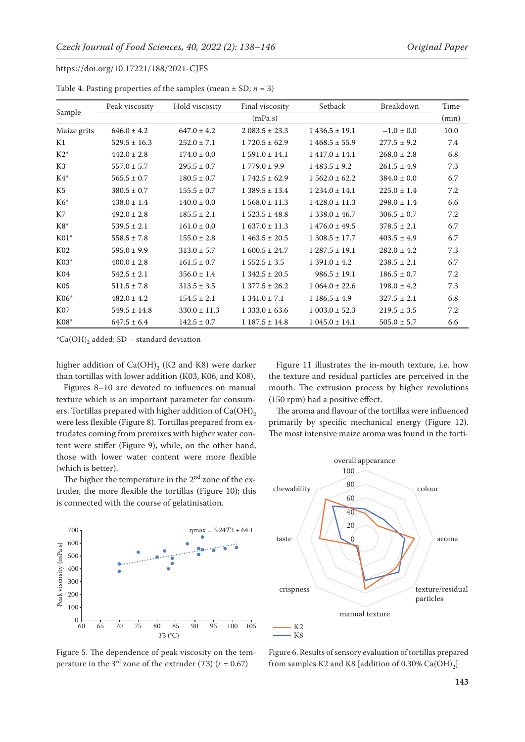|                 | Peak viscosity   | Hold viscosity   | Final viscosity   | Setback           | Breakdown       | Time |  |  |
|-----------------|------------------|------------------|-------------------|-------------------|-----------------|------|--|--|
| Sample          | (mPa.s)          |                  |                   |                   |                 |      |  |  |
| Maize grits     | $646.0 \pm 4.2$  | $647.0 \pm 4.2$  | $2083.5 \pm 23.3$ | $1436.5 \pm 19.1$ | $-1.0 \pm 0.0$  | 10.0 |  |  |
| K1              | $529.5 \pm 16.3$ | $252.0 \pm 7.1$  | $1720.5 \pm 62.9$ | $1468.5 \pm 55.9$ | $277.5 \pm 9.2$ | 7.4  |  |  |
| $K2^*$          | $442.0 \pm 2.8$  | $174.0 \pm 0.0$  | $1591.0 \pm 14.1$ | $1417.0 \pm 14.1$ | $268.0 \pm 2.8$ | 6.8  |  |  |
| K3              | $557.0 \pm 5.7$  | $295.5 \pm 0.7$  | $1779.0 \pm 9.9$  | $1483.5 \pm 9.2$  | $261.5 \pm 4.9$ | 7.3  |  |  |
| $K4*$           | $565.5 \pm 0.7$  | $180.5 \pm 0.7$  | $1742.5 \pm 62.9$ | $1562.0 \pm 62.2$ | $384.0 \pm 0.0$ | 6.7  |  |  |
| K5              | $380.5 \pm 0.7$  | $155.5 \pm 0.7$  | $1389.5 \pm 13.4$ | $1234.0 \pm 14.1$ | $225.0 \pm 1.4$ | 7.2  |  |  |
| $K6*$           | $438.0 \pm 1.4$  | $140.0 \pm 0.0$  | $1568.0 \pm 11.3$ | $1428.0 \pm 11.3$ | $298.0 \pm 1.4$ | 6.6  |  |  |
| K7              | $492.0 \pm 2.8$  | $185.5 \pm 2.1$  | $1523.5 \pm 48.8$ | $1338.0 \pm 46.7$ | $306.5 \pm 0.7$ | 7.2  |  |  |
| $K8*$           | $539.5 \pm 2.1$  | $161.0 \pm 0.0$  | $1637.0 \pm 11.3$ | $1476.0 \pm 49.5$ | $378.5 \pm 2.1$ | 6.7  |  |  |
| $K01*$          | $558.5 \pm 7.8$  | $155.0 \pm 2.8$  | $1463.5 \pm 20.5$ | $1308.5 \pm 17.7$ | $403.5 \pm 4.9$ | 6.7  |  |  |
| K02             | $595.0 \pm 9.9$  | $313.0 \pm 5.7$  | $1600.5 \pm 24.7$ | $1287.5 \pm 19.1$ | $282.0 \pm 4.2$ | 7.3  |  |  |
| $K03*$          | $400.0 \pm 2.8$  | $161.5 \pm 0.7$  | $1552.5 \pm 3.5$  | $1391.0 \pm 4.2$  | $238.5 \pm 2.1$ | 6.7  |  |  |
| K04             | $542.5 \pm 2.1$  | $356.0 \pm 1.4$  | $1342.5 \pm 20.5$ | $986.5 \pm 19.1$  | $186.5 \pm 0.7$ | 7.2  |  |  |
| K <sub>05</sub> | $511.5 \pm 7.8$  | $313.5 \pm 3.5$  | $1377.5 \pm 26.2$ | $1064.0 \pm 22.6$ | $198.0 \pm 4.2$ | 7.3  |  |  |
| $K06*$          | $482.0 \pm 4.2$  | $154.5 \pm 2.1$  | $1341.0 \pm 7.1$  | $1186.5 \pm 4.9$  | $327.5 \pm 2.1$ | 6.8  |  |  |
| K07             | $549.5 \pm 14.8$ | $330.0 \pm 11.3$ | $1333.0 \pm 63.6$ | $1003.0 \pm 52.3$ | $219.5 \pm 3.5$ | 7.2  |  |  |
| $K08*$          | $647.5 \pm 6.4$  | $142.5 \pm 0.7$  | $1187.5 \pm 14.8$ | $1045.0 \pm 14.1$ | $505.0 \pm 5.7$ | 6.6  |  |  |

Table 4. Pasting properties of the samples (mean  $\pm$  SD; *n* = 3)

 $^{\ast}Ca(OH)_{2}$  added; SD – standard deviation

higher addition of  $Ca(OH)$ , (K2 and K8) were darker than tortillas with lower addition (K03, K06, and K08).

Figures 8–10 are devoted to influences on manual texture which is an important parameter for consumers. Tortillas prepared with higher addition of  $Ca(OH)_{2}$ were less flexible (Figure 8). Tortillas prepared from extrudates coming from premixes with higher water content were stiffer (Figure 9), while, on the other hand, those with lower water content were more flexible (which is better).

The higher the temperature in the  $2<sup>nd</sup>$  zone of the extruder, the more flexible the tortillas (Figure 10); this is connected with the course of gelatinisation.



The aroma and flavour of the tortillas were influenced primarily by specific mechanical energy (Figure 12). The most intensive maize aroma was found in the torti-



Figure 5. The dependence of peak viscosity on the temperature in the 3<sup>rd</sup> zone of the extruder (*T*3) ( $r = 0.67$ )



Figure 6. Results of sensory evaluation of tortillas prepared from samples K2 and K8 [addition of 0.30%  $Ca(OH)_2$ ]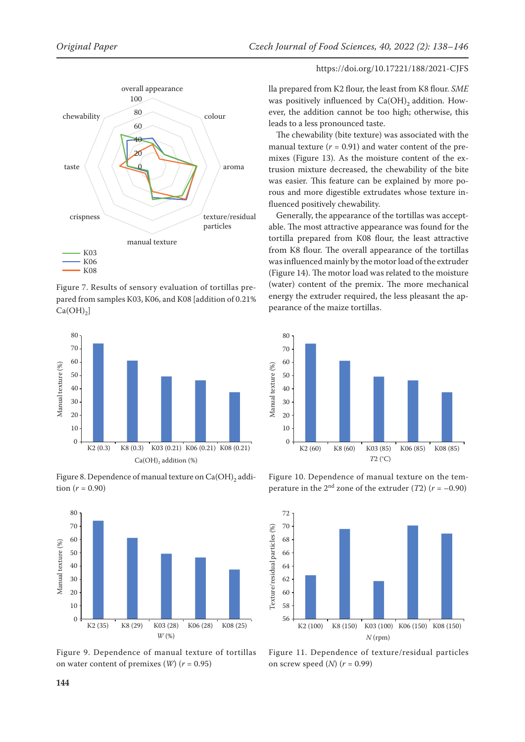

Figure 7. Results of sensory evaluation of tortillas prepared from samples K03, K06, and K08 [addition of 0.21%  $Ca(OH)_2$ ]



Figure 8. Dependence of manual texture on  $Ca(OH)$ <sub>2</sub> addition  $(r = 0.90)$ 



Figure 9. Dependence of manual texture of tortillas on water content of premixes (*W*) (*r* = 0.95)

lla prepared from K2 flour, the least from K8 flour. *SME* was positively influenced by  $Ca(OH)$ <sub>2</sub> addition. However, the addition cannot be too high; otherwise, this leads to a less pronounced taste.

The chewability (bite texture) was associated with the manual texture  $(r = 0.91)$  and water content of the premixes (Figure 13). As the moisture content of the extrusion mixture decreased, the chewability of the bite was easier. This feature can be explained by more porous and more digestible extrudates whose texture influenced positively chewability.

Generally, the appearance of the tortillas was acceptable. The most attractive appearance was found for the tortilla prepared from K08 flour, the least attractive from K8 flour. The overall appearance of the tortillas was influenced mainly by the motor load of the extruder (Figure 14). The motor load was related to the moisture (water) content of the premix. The more mechanical energy the extruder required, the less pleasant the appearance of the maize tortillas.



Figure 10. Dependence of manual texture on the temperature in the  $2<sup>nd</sup>$  zone of the extruder (*T*2) ( $r = -0.90$ )



Figure 11. Dependence of texture/residual particles on screw speed (*N*) (*r* = 0.99)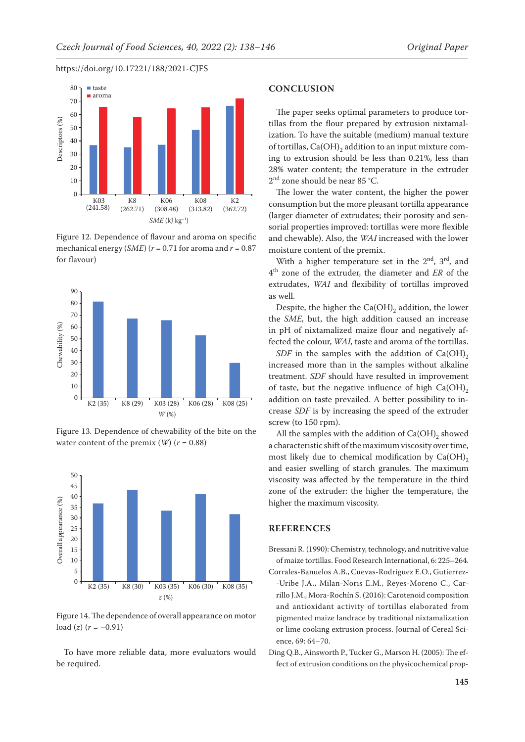

Figure 12. Dependence of flavour and aroma on specific mechanical energy (*SME*) (*r* = 0.71 for aroma and *r* = 0.87 for flavour)



Figure 13. Dependence of chewability of the bite on the water content of the premix  $(W)(r = 0.88)$ 



Figure 14. The dependence of overall appearance on motor  $load (z) (r = -0.91)$ 

To have more reliable data, more evaluators would be required.

#### **CONCLUSION**

The paper seeks optimal parameters to produce tortillas from the flour prepared by extrusion nixtamalization. To have the suitable (medium) manual texture of tortillas,  $Ca(OH)$ <sub>2</sub> addition to an input mixture coming to extrusion should be less than 0.21%, less than 28% water content; the temperature in the extruder  $2<sup>nd</sup>$  zone should be near 85 °C.

The lower the water content, the higher the power consumption but the more pleasant tortilla appearance (larger diameter of extrudates; their porosity and sensorial properties improved: tortillas were more flexible and chewable). Also, the *WAI* increased with the lower moisture content of the premix.

With a higher temperature set in the  $2<sup>nd</sup>$ ,  $3<sup>rd</sup>$ , and 4th zone of the extruder, the diameter and *ER* of the extrudates, *WAI* and flexibility of tortillas improved as well.

Despite, the higher the  $Ca(OH)$ <sub>2</sub> addition, the lower the *SME*, but, the high addition caused an increase in pH of nixtamalized maize flour and negatively affected the colour, *WAI,* taste and aroma of the tortillas.

*SDF* in the samples with the addition of  $Ca(OH)_{2}$ increased more than in the samples without alkaline treatment. *SDF* should have resulted in improvement of taste, but the negative influence of high  $Ca(OH)_{2}$ addition on taste prevailed. A better possibility to increase *SDF* is by increasing the speed of the extruder screw (to 150 rpm).

All the samples with the addition of  $Ca(OH)_2$  showed a characteristic shift of the maximum viscosity over time, most likely due to chemical modification by  $Ca(OH)_{2}$ and easier swelling of starch granules. The maximum viscosity was affected by the temperature in the third zone of the extruder: the higher the temperature, the higher the maximum viscosity.

# **REFERENCES**

Bressani R. (1990): Chemistry, technology, and nutritive value of maize tortillas. Food Research International, 6: 225–264. Corrales-Banuelos A.B., Cuevas-Rodríguez E.O., Gutierrez-

- -Uribe J.A., Milan-Noris E.M., Reyes-Moreno C., Carrillo J.M., Mora-Rochín S. (2016): Carotenoid composition and antioxidant activity of tortillas elaborated from pigmented maize landrace by traditional nixtamalization or lime cooking extrusion process. Journal of Cereal Science, 69: 64–70.
- Ding Q.B., Ainsworth P., Tucker G., Marson H. (2005): The effect of extrusion conditions on the physicochemical prop-